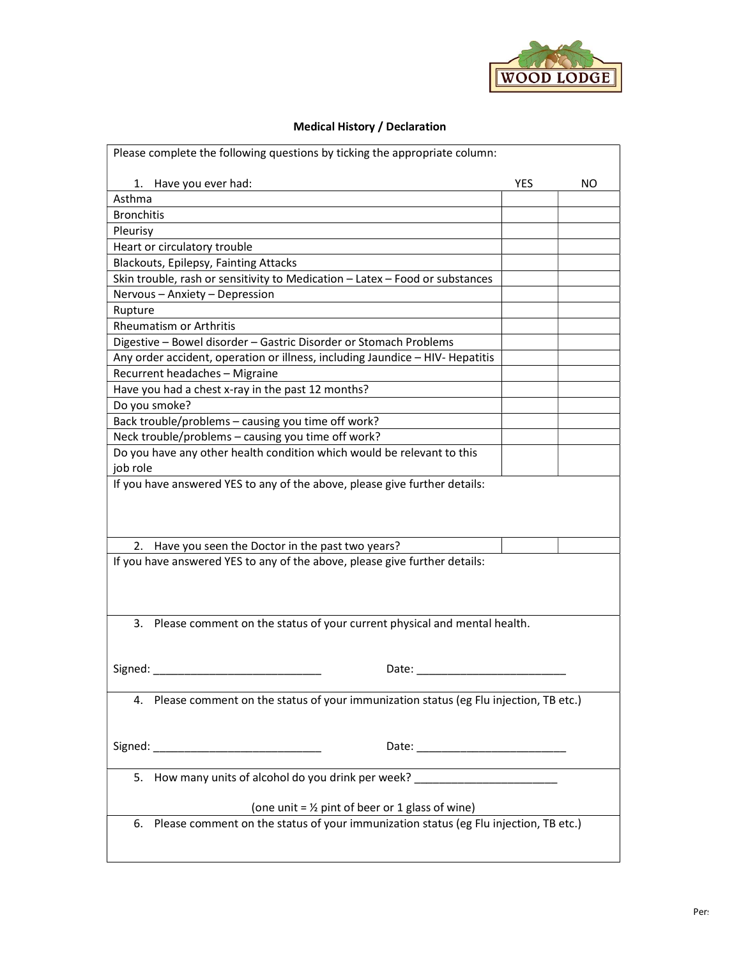

## Medical History / Declaration

| Please complete the following questions by ticking the appropriate column:                 |            |     |  |
|--------------------------------------------------------------------------------------------|------------|-----|--|
| 1. Have you ever had:                                                                      | <b>YES</b> | NO. |  |
| Asthma                                                                                     |            |     |  |
| <b>Bronchitis</b>                                                                          |            |     |  |
| Pleurisy                                                                                   |            |     |  |
| Heart or circulatory trouble                                                               |            |     |  |
| Blackouts, Epilepsy, Fainting Attacks                                                      |            |     |  |
| Skin trouble, rash or sensitivity to Medication - Latex - Food or substances               |            |     |  |
| Nervous - Anxiety - Depression                                                             |            |     |  |
| Rupture                                                                                    |            |     |  |
| <b>Rheumatism or Arthritis</b>                                                             |            |     |  |
| Digestive - Bowel disorder - Gastric Disorder or Stomach Problems                          |            |     |  |
| Any order accident, operation or illness, including Jaundice - HIV- Hepatitis              |            |     |  |
| Recurrent headaches - Migraine                                                             |            |     |  |
| Have you had a chest x-ray in the past 12 months?                                          |            |     |  |
| Do you smoke?                                                                              |            |     |  |
| Back trouble/problems - causing you time off work?                                         |            |     |  |
| Neck trouble/problems - causing you time off work?                                         |            |     |  |
| Do you have any other health condition which would be relevant to this                     |            |     |  |
| job role                                                                                   |            |     |  |
| If you have answered YES to any of the above, please give further details:                 |            |     |  |
| 2. Have you seen the Doctor in the past two years?                                         |            |     |  |
| If you have answered YES to any of the above, please give further details:                 |            |     |  |
| Please comment on the status of your current physical and mental health.<br>3.             |            |     |  |
| Signed:<br>Date:                                                                           |            |     |  |
| 4. Please comment on the status of your immunization status (eg Flu injection, TB etc.)    |            |     |  |
|                                                                                            |            |     |  |
| 5. How many units of alcohol do you drink per week? ____________________________           |            |     |  |
| (one unit = $\frac{1}{2}$ pint of beer or 1 glass of wine)                                 |            |     |  |
| Please comment on the status of your immunization status (eg Flu injection, TB etc.)<br>6. |            |     |  |
|                                                                                            |            |     |  |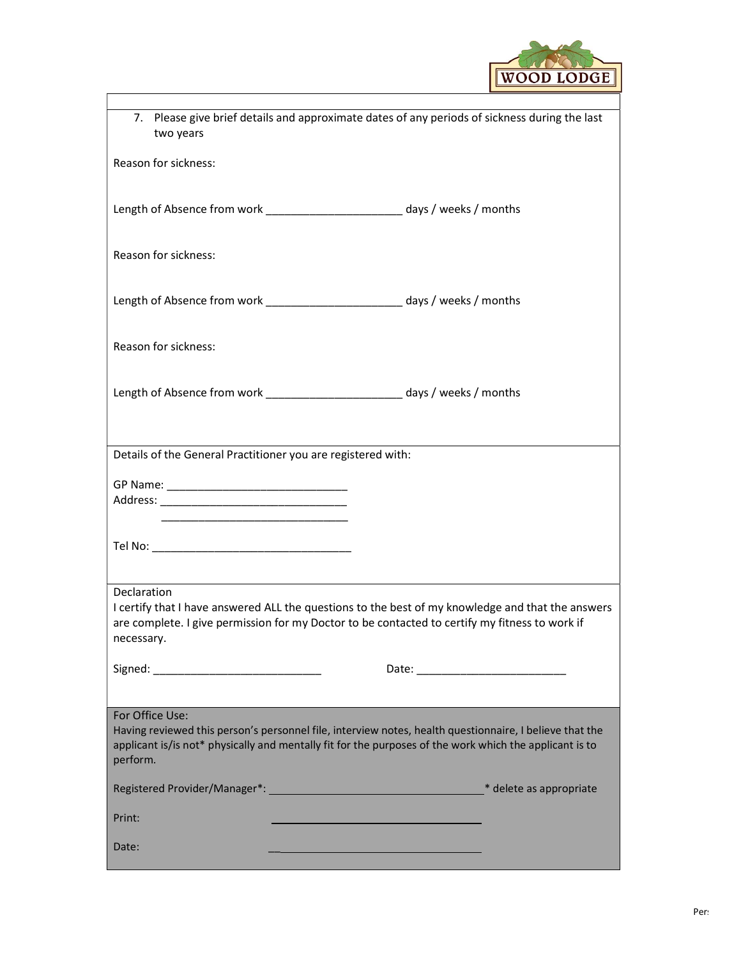

| 7. Please give brief details and approximate dates of any periods of sickness during the last<br>two years                                                                                          |                         |  |  |
|-----------------------------------------------------------------------------------------------------------------------------------------------------------------------------------------------------|-------------------------|--|--|
| Reason for sickness:                                                                                                                                                                                |                         |  |  |
| Length of Absence from work ________________________ days / weeks / months                                                                                                                          |                         |  |  |
| Reason for sickness:                                                                                                                                                                                |                         |  |  |
| Length of Absence from work _______________________ days / weeks / months                                                                                                                           |                         |  |  |
| Reason for sickness:                                                                                                                                                                                |                         |  |  |
| Length of Absence from work ________________________ days / weeks / months                                                                                                                          |                         |  |  |
| Details of the General Practitioner you are registered with:                                                                                                                                        |                         |  |  |
|                                                                                                                                                                                                     |                         |  |  |
|                                                                                                                                                                                                     |                         |  |  |
|                                                                                                                                                                                                     |                         |  |  |
|                                                                                                                                                                                                     |                         |  |  |
|                                                                                                                                                                                                     |                         |  |  |
|                                                                                                                                                                                                     |                         |  |  |
|                                                                                                                                                                                                     |                         |  |  |
| Declaration                                                                                                                                                                                         |                         |  |  |
| I certify that I have answered ALL the questions to the best of my knowledge and that the answers<br>are complete. I give permission for my Doctor to be contacted to certify my fitness to work if |                         |  |  |
| necessary.                                                                                                                                                                                          |                         |  |  |
|                                                                                                                                                                                                     |                         |  |  |
|                                                                                                                                                                                                     |                         |  |  |
|                                                                                                                                                                                                     |                         |  |  |
| For Office Use:                                                                                                                                                                                     |                         |  |  |
| Having reviewed this person's personnel file, interview notes, health questionnaire, I believe that the                                                                                             |                         |  |  |
| applicant is/is not* physically and mentally fit for the purposes of the work which the applicant is to<br>perform.                                                                                 |                         |  |  |
| Registered Provider/Manager*: New York Changer and Changes and Changes and Changes and Changes and Changes and                                                                                      | * delete as appropriate |  |  |
| Print:                                                                                                                                                                                              |                         |  |  |
| Date:                                                                                                                                                                                               |                         |  |  |

**I** and the state of the state of